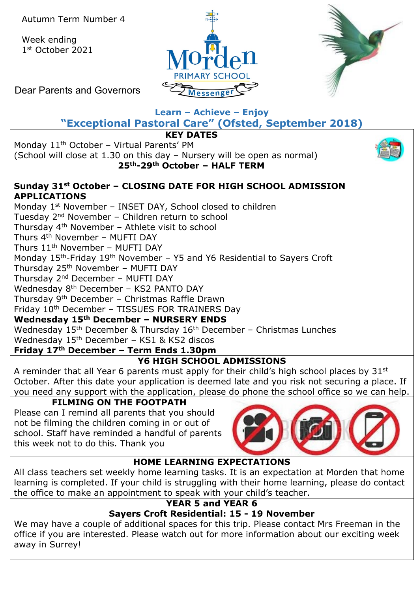Week ending 1st October 2021





Dear Parents and Governors

# **Learn – Achieve – Enjoy**

**"Exceptional Pastoral Care" (Ofsted, September 2018)**

**KEY DATES**

Monday 11<sup>th</sup> October - Virtual Parents' PM

(School will close at 1.30 on this day – Nursery will be open as normal) **25th-29th October – HALF TERM**



### **Sunday 31st October – CLOSING DATE FOR HIGH SCHOOL ADMISSION APPLICATIONS**

Monday 1<sup>st</sup> November - INSET DAY, School closed to children Tuesday 2nd November – Children return to school Thursday 4th November – Athlete visit to school Thurs 4<sup>th</sup> November - MUFTI DAY Thurs  $11<sup>th</sup>$  November – MUFTI DAY Monday 15<sup>th</sup>-Friday 19<sup>th</sup> November – Y5 and Y6 Residential to Sayers Croft Thursday 25th November – MUFTI DAY Thursday 2nd December – MUFTI DAY Wednesday 8<sup>th</sup> December - KS2 PANTO DAY Thursday 9th December – Christmas Raffle Drawn Friday 10th December – TISSUES FOR TRAINERS Day **Wednesday 15th December – NURSERY ENDS** Wednesday  $15<sup>th</sup>$  December & Thursday  $16<sup>th</sup>$  December – Christmas Lunches

Wednesday  $15<sup>th</sup>$  December – KS1 & KS2 discos

## **Friday 17th December – Term Ends 1.30pm**

## **Y6 HIGH SCHOOL ADMISSIONS**

A reminder that all Year 6 parents must apply for their child's high school places by 31<sup>st</sup> October. After this date your application is deemed late and you risk not securing a place. If you need any support with the application, please do phone the school office so we can help.

### **FILMING ON THE FOOTPATH**

Please can I remind all parents that you should not be filming the children coming in or out of school. Staff have reminded a handful of parents this week not to do this. Thank you



## **HOME LEARNING EXPECTATIONS**

All class teachers set weekly home learning tasks. It is an expectation at Morden that home learning is completed. If your child is struggling with their home learning, please do contact the office to make an appointment to speak with your child's teacher.

## **YEAR 5 and YEAR 6**

## **Sayers Croft Residential: 15 - 19 November**

We may have a couple of additional spaces for this trip. Please contact Mrs Freeman in the office if you are interested. Please watch out for more information about our exciting week away in Surrey!